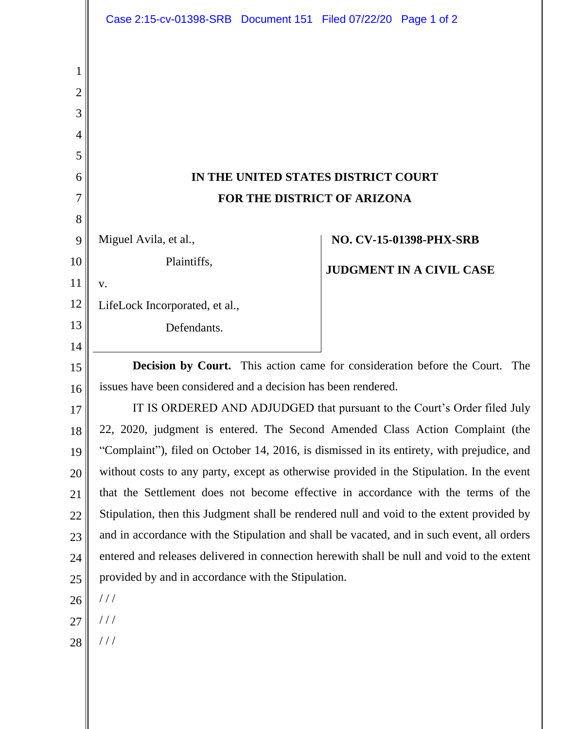|        | Case 2:15-cv-01398-SRB Document 151 Filed 07/22/20 Page 1 of 2                             |  |  |                                 |  |  |
|--------|--------------------------------------------------------------------------------------------|--|--|---------------------------------|--|--|
|        |                                                                                            |  |  |                                 |  |  |
| 1      |                                                                                            |  |  |                                 |  |  |
| 2      |                                                                                            |  |  |                                 |  |  |
| 3      |                                                                                            |  |  |                                 |  |  |
| 4      |                                                                                            |  |  |                                 |  |  |
| 5<br>6 |                                                                                            |  |  |                                 |  |  |
| 7      | IN THE UNITED STATES DISTRICT COURT<br>FOR THE DISTRICT OF ARIZONA                         |  |  |                                 |  |  |
| 8      |                                                                                            |  |  |                                 |  |  |
| 9      | Miguel Avila, et al.,                                                                      |  |  | NO. CV-15-01398-PHX-SRB         |  |  |
| 10     | Plaintiffs,                                                                                |  |  | <b>JUDGMENT IN A CIVIL CASE</b> |  |  |
| 11     | V.                                                                                         |  |  |                                 |  |  |
| 12     | LifeLock Incorporated, et al.,                                                             |  |  |                                 |  |  |
| 13     | Defendants.                                                                                |  |  |                                 |  |  |
| 14     |                                                                                            |  |  |                                 |  |  |
| 15     | Decision by Court. This action came for consideration before the Court.<br>The             |  |  |                                 |  |  |
| 16     | issues have been considered and a decision has been rendered.                              |  |  |                                 |  |  |
| 17     | IT IS ORDERED AND ADJUDGED that pursuant to the Court's Order filed July                   |  |  |                                 |  |  |
| 18     | 22, 2020, judgment is entered. The Second Amended Class Action Complaint (the              |  |  |                                 |  |  |
| 19     | "Complaint"), filed on October 14, 2016, is dismissed in its entirety, with prejudice, and |  |  |                                 |  |  |
| 20     | without costs to any party, except as otherwise provided in the Stipulation. In the event  |  |  |                                 |  |  |
| 21     | that the Settlement does not become effective in accordance with the terms of the          |  |  |                                 |  |  |
| 22     | Stipulation, then this Judgment shall be rendered null and void to the extent provided by  |  |  |                                 |  |  |
| 23     | and in accordance with the Stipulation and shall be vacated, and in such event, all orders |  |  |                                 |  |  |
| 24     | entered and releases delivered in connection herewith shall be null and void to the extent |  |  |                                 |  |  |
| 25     | provided by and in accordance with the Stipulation.                                        |  |  |                                 |  |  |
| 26     | //                                                                                         |  |  |                                 |  |  |
| 27     | $\frac{1}{2}$                                                                              |  |  |                                 |  |  |
| 28     | $\frac{1}{2}$                                                                              |  |  |                                 |  |  |
|        |                                                                                            |  |  |                                 |  |  |
|        |                                                                                            |  |  |                                 |  |  |